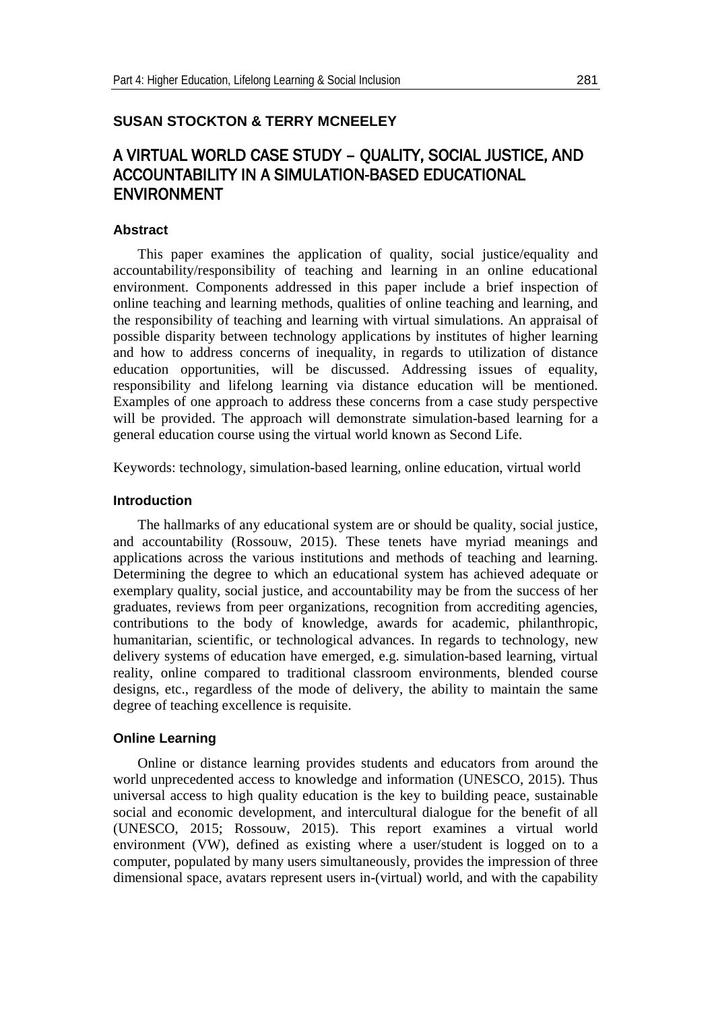# **SUSAN STOCKTON & TERRY MCNEELEY**

# A VIRTUAL WORLD CASE STUDY – QUALITY, SOCIAL JUSTICE, AND ACCOUNTABILITY IN A SIMULATION-BASED EDUCATIONAL ENVIRONMENT

# **Abstract**

This paper examines the application of quality, social justice/equality and accountability/responsibility of teaching and learning in an online educational environment. Components addressed in this paper include a brief inspection of online teaching and learning methods, qualities of online teaching and learning, and the responsibility of teaching and learning with virtual simulations. An appraisal of possible disparity between technology applications by institutes of higher learning and how to address concerns of inequality, in regards to utilization of distance education opportunities, will be discussed. Addressing issues of equality, responsibility and lifelong learning via distance education will be mentioned. Examples of one approach to address these concerns from a case study perspective will be provided. The approach will demonstrate simulation-based learning for a general education course using the virtual world known as Second Life.

Keywords: technology, simulation-based learning, online education, virtual world

## **Introduction**

The hallmarks of any educational system are or should be quality, social justice, and accountability (Rossouw, 2015). These tenets have myriad meanings and applications across the various institutions and methods of teaching and learning. Determining the degree to which an educational system has achieved adequate or exemplary quality, social justice, and accountability may be from the success of her graduates, reviews from peer organizations, recognition from accrediting agencies, contributions to the body of knowledge, awards for academic, philanthropic, humanitarian, scientific, or technological advances. In regards to technology, new delivery systems of education have emerged, e.g. simulation-based learning, virtual reality, online compared to traditional classroom environments, blended course designs, etc., regardless of the mode of delivery, the ability to maintain the same degree of teaching excellence is requisite.

# **Online Learning**

Online or distance learning provides students and educators from around the world unprecedented access to knowledge and information (UNESCO, 2015). Thus universal access to high quality education is the key to building peace, sustainable social and economic development, and intercultural dialogue for the benefit of all (UNESCO, 2015; Rossouw, 2015). This report examines a virtual world environment (VW), defined as existing where a user/student is logged on to a computer, populated by many users simultaneously, provides the impression of three dimensional space, avatars represent users in-(virtual) world, and with the capability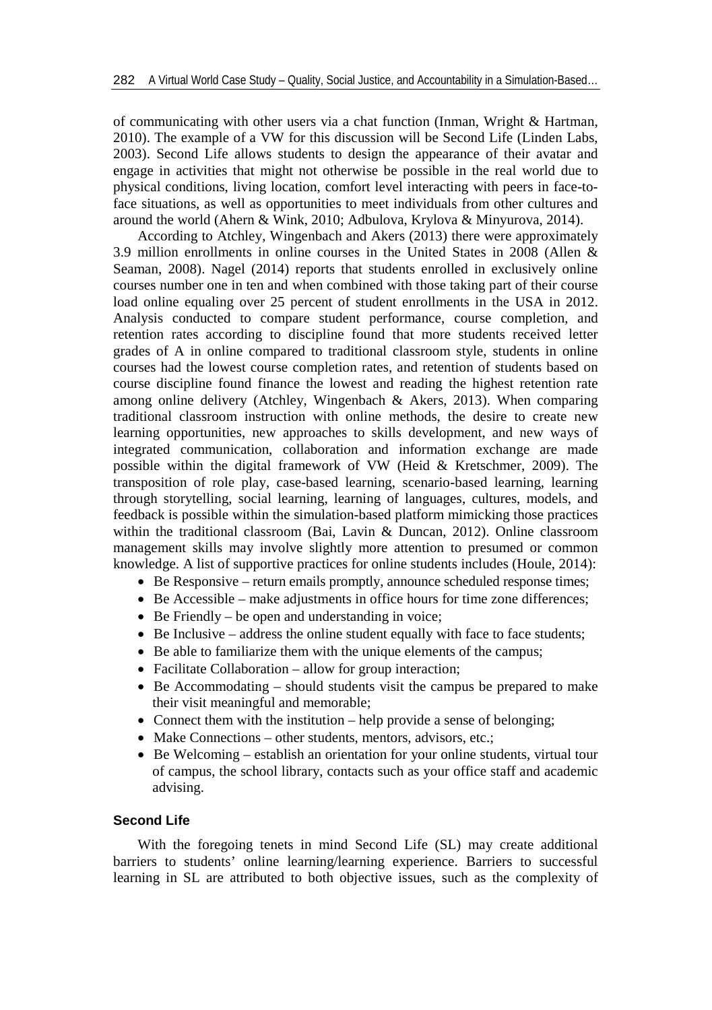of communicating with other users via a chat function (Inman, Wright & Hartman, 2010). The example of a VW for this discussion will be Second Life (Linden Labs, 2003). Second Life allows students to design the appearance of their avatar and engage in activities that might not otherwise be possible in the real world due to physical conditions, living location, comfort level interacting with peers in face-toface situations, as well as opportunities to meet individuals from other cultures and around the world (Ahern & Wink, 2010; Adbulova, Krylova & Minyurova, 2014).

According to Atchley, Wingenbach and Akers (2013) there were approximately 3.9 million enrollments in online courses in the United States in 2008 (Allen & Seaman, 2008). Nagel (2014) reports that students enrolled in exclusively online courses number one in ten and when combined with those taking part of their course load online equaling over 25 percent of student enrollments in the USA in 2012. Analysis conducted to compare student performance, course completion, and retention rates according to discipline found that more students received letter grades of A in online compared to traditional classroom style, students in online courses had the lowest course completion rates, and retention of students based on course discipline found finance the lowest and reading the highest retention rate among online delivery (Atchley, Wingenbach & Akers, 2013). When comparing traditional classroom instruction with online methods, the desire to create new learning opportunities, new approaches to skills development, and new ways of integrated communication, collaboration and information exchange are made possible within the digital framework of VW (Heid & Kretschmer, 2009). The transposition of role play, case-based learning, scenario-based learning, learning through storytelling, social learning, learning of languages, cultures, models, and feedback is possible within the simulation-based platform mimicking those practices within the traditional classroom (Bai, Lavin & Duncan, 2012). Online classroom management skills may involve slightly more attention to presumed or common knowledge. A list of supportive practices for online students includes (Houle, 2014):

- Be Responsive return emails promptly, announce scheduled response times;
- Be Accessible make adjustments in office hours for time zone differences;
- Be Friendly be open and understanding in voice;
- Be Inclusive address the online student equally with face to face students;
- Be able to familiarize them with the unique elements of the campus;
- Facilitate Collaboration allow for group interaction;
- Be Accommodating should students visit the campus be prepared to make their visit meaningful and memorable;
- Connect them with the institution help provide a sense of belonging;
- Make Connections other students, mentors, advisors, etc.;
- Be Welcoming establish an orientation for your online students, virtual tour of campus, the school library, contacts such as your office staff and academic advising.

## **Second Life**

With the foregoing tenets in mind Second Life (SL) may create additional barriers to students' online learning/learning experience. Barriers to successful learning in SL are attributed to both objective issues, such as the complexity of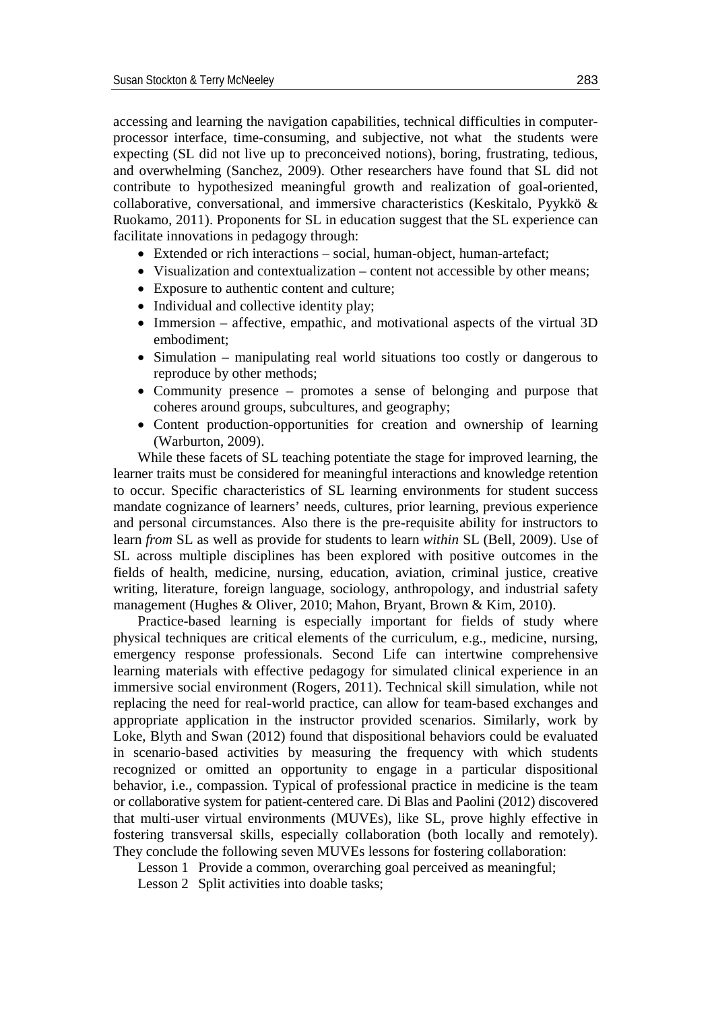accessing and learning the navigation capabilities, technical difficulties in computerprocessor interface, time-consuming, and subjective, not what the students were expecting (SL did not live up to preconceived notions), boring, frustrating, tedious, and overwhelming (Sanchez, 2009). Other researchers have found that SL did not contribute to hypothesized meaningful growth and realization of goal-oriented, collaborative, conversational, and immersive characteristics (Keskitalo, Pyykkö & Ruokamo, 2011). Proponents for SL in education suggest that the SL experience can facilitate innovations in pedagogy through:

- Extended or rich interactions social, human-object, human-artefact;
- Visualization and contextualization content not accessible by other means;
- Exposure to authentic content and culture;
- Individual and collective identity play;
- Immersion affective, empathic, and motivational aspects of the virtual 3D embodiment;
- Simulation manipulating real world situations too costly or dangerous to reproduce by other methods;
- Community presence promotes a sense of belonging and purpose that coheres around groups, subcultures, and geography;
- Content production-opportunities for creation and ownership of learning (Warburton, 2009).

While these facets of SL teaching potentiate the stage for improved learning, the learner traits must be considered for meaningful interactions and knowledge retention to occur. Specific characteristics of SL learning environments for student success mandate cognizance of learners' needs, cultures, prior learning, previous experience and personal circumstances. Also there is the pre-requisite ability for instructors to learn *from* SL as well as provide for students to learn *within* SL (Bell, 2009). Use of SL across multiple disciplines has been explored with positive outcomes in the fields of health, medicine, nursing, education, aviation, criminal justice, creative writing, literature, foreign language, sociology, anthropology, and industrial safety management (Hughes & Oliver, 2010; Mahon, Bryant, Brown & Kim, 2010).

Practice-based learning is especially important for fields of study where physical techniques are critical elements of the curriculum, e.g., medicine, nursing, emergency response professionals. Second Life can intertwine comprehensive learning materials with effective pedagogy for simulated clinical experience in an immersive social environment (Rogers, 2011). Technical skill simulation, while not replacing the need for real-world practice, can allow for team-based exchanges and appropriate application in the instructor provided scenarios. Similarly, work by Loke, Blyth and Swan (2012) found that dispositional behaviors could be evaluated in scenario-based activities by measuring the frequency with which students recognized or omitted an opportunity to engage in a particular dispositional behavior, i.e., compassion. Typical of professional practice in medicine is the team or collaborative system for patient-centered care. Di Blas and Paolini (2012) discovered that multi-user virtual environments (MUVEs), like SL, prove highly effective in fostering transversal skills, especially collaboration (both locally and remotely). They conclude the following seven MUVEs lessons for fostering collaboration:

Lesson 1 Provide a common, overarching goal perceived as meaningful;

Lesson 2 Split activities into doable tasks;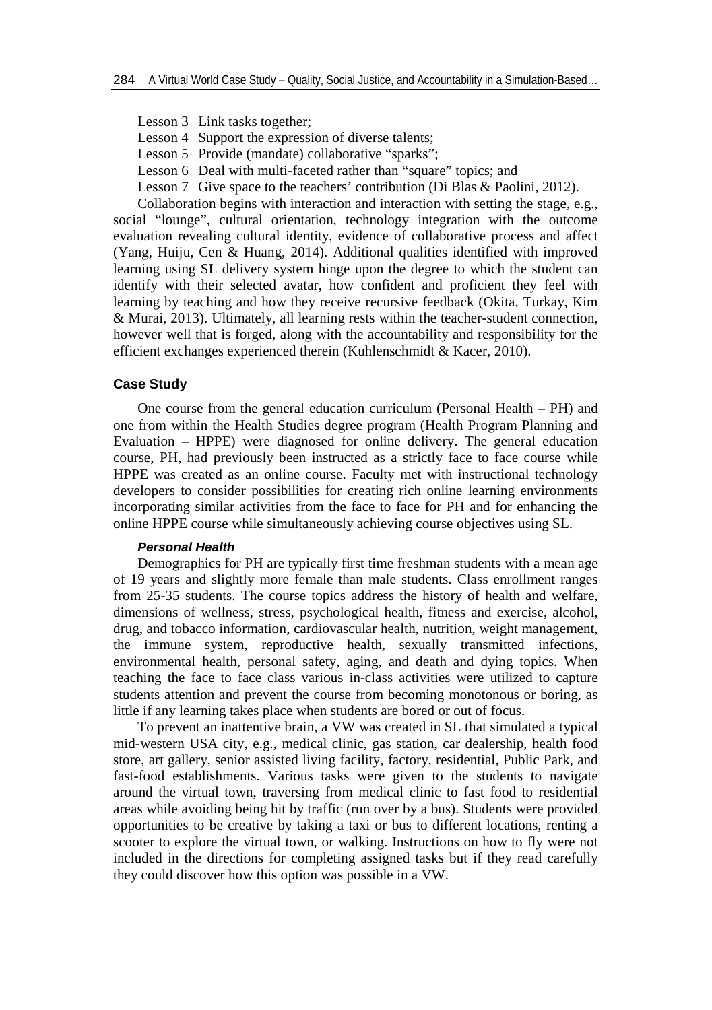- Lesson 3 Link tasks together;
- Lesson 4 Support the expression of diverse talents;
- Lesson 5 Provide (mandate) collaborative "sparks";
- Lesson 6 Deal with multi-faceted rather than "square" topics; and
- Lesson 7 Give space to the teachers' contribution (Di Blas & Paolini, 2012).

Collaboration begins with interaction and interaction with setting the stage, e.g., social "lounge", cultural orientation, technology integration with the outcome evaluation revealing cultural identity, evidence of collaborative process and affect (Yang, Huiju, Cen & Huang, 2014). Additional qualities identified with improved learning using SL delivery system hinge upon the degree to which the student can identify with their selected avatar, how confident and proficient they feel with learning by teaching and how they receive recursive feedback (Okita, Turkay, Kim & Murai, 2013). Ultimately, all learning rests within the teacher-student connection, however well that is forged, along with the accountability and responsibility for the efficient exchanges experienced therein (Kuhlenschmidt & Kacer, 2010).

#### **Case Study**

One course from the general education curriculum (Personal Health – PH) and one from within the Health Studies degree program (Health Program Planning and Evaluation – HPPE) were diagnosed for online delivery. The general education course, PH, had previously been instructed as a strictly face to face course while HPPE was created as an online course. Faculty met with instructional technology developers to consider possibilities for creating rich online learning environments incorporating similar activities from the face to face for PH and for enhancing the online HPPE course while simultaneously achieving course objectives using SL.

## *Personal Health*

Demographics for PH are typically first time freshman students with a mean age of 19 years and slightly more female than male students. Class enrollment ranges from 25-35 students. The course topics address the history of health and welfare, dimensions of wellness, stress, psychological health, fitness and exercise, alcohol, drug, and tobacco information, cardiovascular health, nutrition, weight management, the immune system, reproductive health, sexually transmitted infections, environmental health, personal safety, aging, and death and dying topics. When teaching the face to face class various in-class activities were utilized to capture students attention and prevent the course from becoming monotonous or boring, as little if any learning takes place when students are bored or out of focus.

To prevent an inattentive brain, a VW was created in SL that simulated a typical mid-western USA city, e.g., medical clinic, gas station, car dealership, health food store, art gallery, senior assisted living facility, factory, residential, Public Park, and fast-food establishments. Various tasks were given to the students to navigate around the virtual town, traversing from medical clinic to fast food to residential areas while avoiding being hit by traffic (run over by a bus). Students were provided opportunities to be creative by taking a taxi or bus to different locations, renting a scooter to explore the virtual town, or walking. Instructions on how to fly were not included in the directions for completing assigned tasks but if they read carefully they could discover how this option was possible in a VW.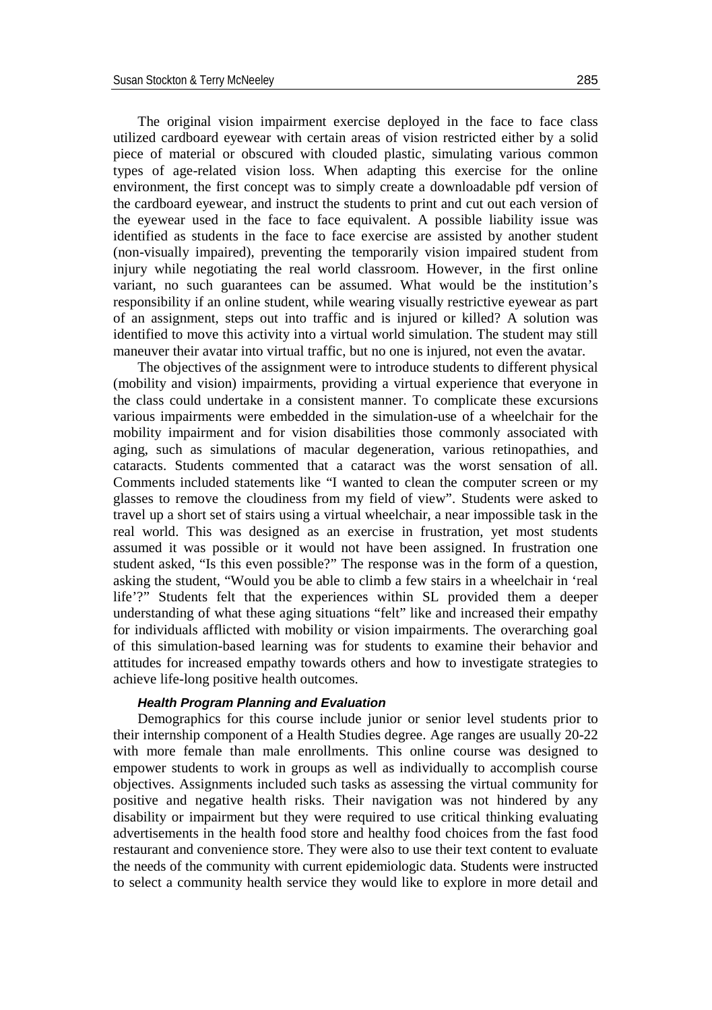The original vision impairment exercise deployed in the face to face class utilized cardboard eyewear with certain areas of vision restricted either by a solid piece of material or obscured with clouded plastic, simulating various common types of age-related vision loss. When adapting this exercise for the online environment, the first concept was to simply create a downloadable pdf version of the cardboard eyewear, and instruct the students to print and cut out each version of the eyewear used in the face to face equivalent. A possible liability issue was identified as students in the face to face exercise are assisted by another student (non-visually impaired), preventing the temporarily vision impaired student from injury while negotiating the real world classroom. However, in the first online variant, no such guarantees can be assumed. What would be the institution's responsibility if an online student, while wearing visually restrictive eyewear as part of an assignment, steps out into traffic and is injured or killed? A solution was identified to move this activity into a virtual world simulation. The student may still maneuver their avatar into virtual traffic, but no one is injured, not even the avatar.

The objectives of the assignment were to introduce students to different physical (mobility and vision) impairments, providing a virtual experience that everyone in the class could undertake in a consistent manner. To complicate these excursions various impairments were embedded in the simulation-use of a wheelchair for the mobility impairment and for vision disabilities those commonly associated with aging, such as simulations of macular degeneration, various retinopathies, and cataracts. Students commented that a cataract was the worst sensation of all. Comments included statements like "I wanted to clean the computer screen or my glasses to remove the cloudiness from my field of view". Students were asked to travel up a short set of stairs using a virtual wheelchair, a near impossible task in the real world. This was designed as an exercise in frustration, yet most students assumed it was possible or it would not have been assigned. In frustration one student asked, "Is this even possible?" The response was in the form of a question, asking the student, "Would you be able to climb a few stairs in a wheelchair in 'real life'?" Students felt that the experiences within SL provided them a deeper understanding of what these aging situations "felt" like and increased their empathy for individuals afflicted with mobility or vision impairments. The overarching goal of this simulation-based learning was for students to examine their behavior and attitudes for increased empathy towards others and how to investigate strategies to achieve life-long positive health outcomes.

## *Health Program Planning and Evaluation*

Demographics for this course include junior or senior level students prior to their internship component of a Health Studies degree. Age ranges are usually 20-22 with more female than male enrollments. This online course was designed to empower students to work in groups as well as individually to accomplish course objectives. Assignments included such tasks as assessing the virtual community for positive and negative health risks. Their navigation was not hindered by any disability or impairment but they were required to use critical thinking evaluating advertisements in the health food store and healthy food choices from the fast food restaurant and convenience store. They were also to use their text content to evaluate the needs of the community with current epidemiologic data. Students were instructed to select a community health service they would like to explore in more detail and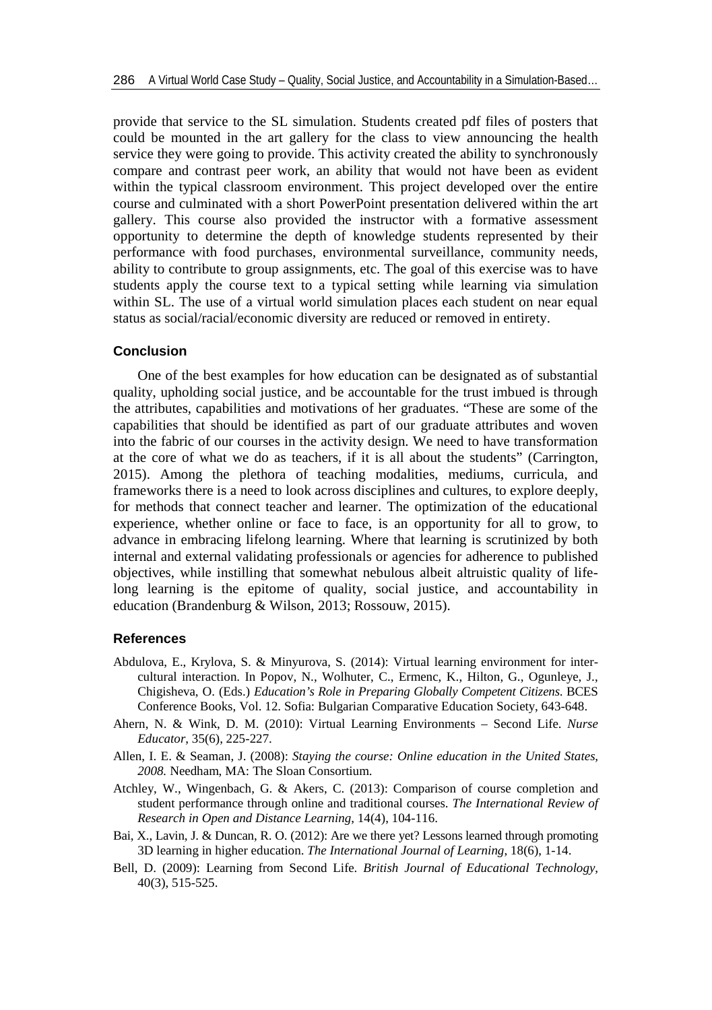provide that service to the SL simulation. Students created pdf files of posters that could be mounted in the art gallery for the class to view announcing the health service they were going to provide. This activity created the ability to synchronously compare and contrast peer work, an ability that would not have been as evident within the typical classroom environment. This project developed over the entire course and culminated with a short PowerPoint presentation delivered within the art gallery. This course also provided the instructor with a formative assessment opportunity to determine the depth of knowledge students represented by their performance with food purchases, environmental surveillance, community needs, ability to contribute to group assignments, etc. The goal of this exercise was to have students apply the course text to a typical setting while learning via simulation within SL. The use of a virtual world simulation places each student on near equal status as social/racial/economic diversity are reduced or removed in entirety.

## **Conclusion**

One of the best examples for how education can be designated as of substantial quality, upholding social justice, and be accountable for the trust imbued is through the attributes, capabilities and motivations of her graduates. "These are some of the capabilities that should be identified as part of our graduate attributes and woven into the fabric of our courses in the activity design. We need to have transformation at the core of what we do as teachers, if it is all about the students" (Carrington, 2015). Among the plethora of teaching modalities, mediums, curricula, and frameworks there is a need to look across disciplines and cultures, to explore deeply, for methods that connect teacher and learner. The optimization of the educational experience, whether online or face to face, is an opportunity for all to grow, to advance in embracing lifelong learning. Where that learning is scrutinized by both internal and external validating professionals or agencies for adherence to published objectives, while instilling that somewhat nebulous albeit altruistic quality of lifelong learning is the epitome of quality, social justice, and accountability in education (Brandenburg & Wilson, 2013; Rossouw, 2015).

#### **References**

- Abdulova, E., Krylova, S. & Minyurova, S. (2014): Virtual learning environment for intercultural interaction. In Popov, N., Wolhuter, C., Ermenc, K., Hilton, G., Ogunleye, J., Chigisheva, O. (Eds.) *Education's Role in Preparing Globally Competent Citizens*. BCES Conference Books, Vol. 12. Sofia: Bulgarian Comparative Education Society, 643-648.
- Ahern, N. & Wink, D. M. (2010): Virtual Learning Environments Second Life. *Nurse Educator*, 35(6), 225-227.
- Allen, I. E. & Seaman, J. (2008): *Staying the course: Online education in the United States, 2008.* Needham, MA: The Sloan Consortium.
- Atchley, W., Wingenbach, G. & Akers, C. (2013): Comparison of course completion and student performance through online and traditional courses. *The International Review of Research in Open and Distance Learning*, 14(4), 104-116.
- Bai, X., Lavin, J. & Duncan, R. O. (2012): Are we there yet? Lessons learned through promoting 3D learning in higher education. *The International Journal of Learning*, 18(6), 1-14.
- Bell, D. (2009): Learning from Second Life. *British Journal of Educational Technology*, 40(3), 515-525.